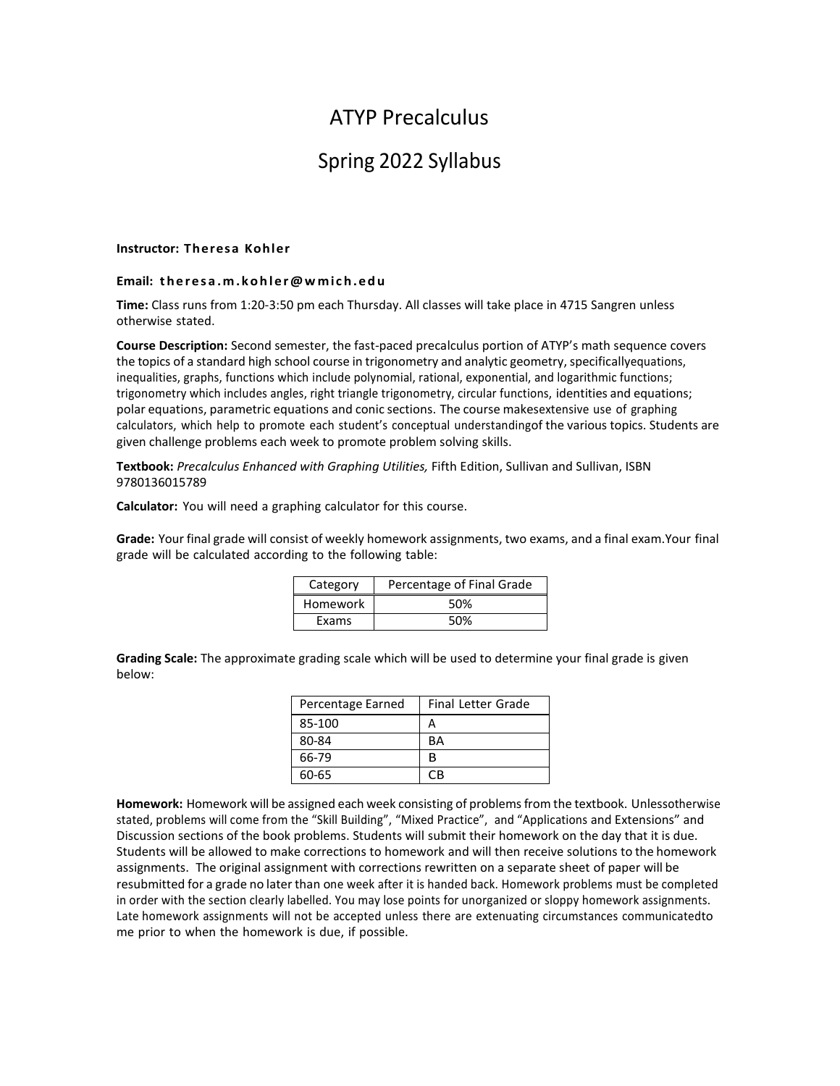# ATYP Precalculus

## Spring 2022 Syllabus

#### **Instructor: Theresa Kohler**

#### **Email: th e r e s a .m .k o h l e r @ w mic h .e d u**

**Time:** Class runs from 1:20-3:50 pm each Thursday. All classes will take place in 4715 Sangren unless otherwise stated.

**Course Description:** Second semester, the fast-paced precalculus portion of ATYP's math sequence covers the topics of a standard high school course in trigonometry and analytic geometry, specificallyequations, inequalities, graphs, functions which include polynomial, rational, exponential, and logarithmic functions; trigonometry which includes angles, right triangle trigonometry, circular functions, identities and equations; polar equations, parametric equations and conic sections. The course makesextensive use of graphing calculators, which help to promote each student's conceptual understandingof the various topics. Students are given challenge problems each week to promote problem solving skills.

**Textbook:** *Precalculus Enhanced with Graphing Utilities,* Fifth Edition, Sullivan and Sullivan, ISBN 9780136015789

**Calculator:** You will need a graphing calculator for this course.

**Grade:** Your final grade will consist of weekly homework assignments, two exams, and a final exam.Your final grade will be calculated according to the following table:

| Category | Percentage of Final Grade |  |
|----------|---------------------------|--|
| Homework | 50%                       |  |
| Exams    | 50%                       |  |

**Grading Scale:** The approximate grading scale which will be used to determine your final grade is given below:

| Percentage Earned | <b>Final Letter Grade</b> |  |
|-------------------|---------------------------|--|
| 85-100            |                           |  |
| 80-84             | <b>BA</b>                 |  |
| 66-79             | R                         |  |
| 60-65             | СR                        |  |

**Homework:** Homework will be assigned each week consisting of problemsfrom the textbook. Unlessotherwise stated, problems will come from the "Skill Building", "Mixed Practice", and "Applications and Extensions" and Discussion sections of the book problems. Students will submit their homework on the day that it is due. Students will be allowed to make corrections to homework and will then receive solutions to the homework assignments. The original assignment with corrections rewritten on a separate sheet of paper will be resubmitted for a grade no later than one week after it is handed back. Homework problems must be completed in order with the section clearly labelled. You may lose points for unorganized or sloppy homework assignments. Late homework assignments will not be accepted unless there are extenuating circumstances communicatedto me prior to when the homework is due, if possible.